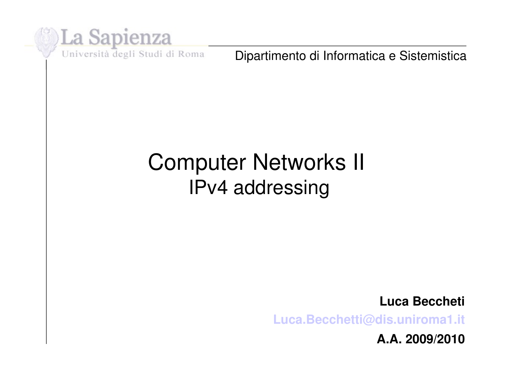

Dipartimento di Informatica e Sistemistica

#### Computer Networks II IPv4 addressing

**Luca Beccheti**

**[Luca.Becchetti@dis.uniroma1.it](mailto:Luca.Becchetti@dis.uniroma1.it)**

**A.A. 2009/2010**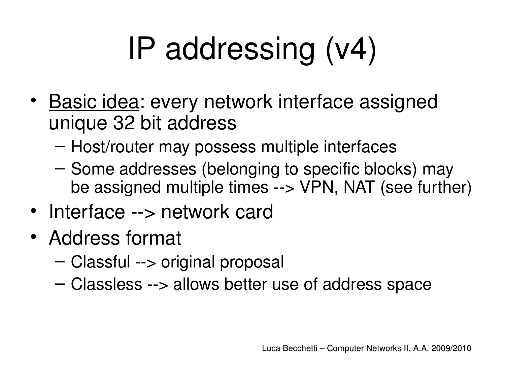# IP addressing (v4)

- Basic idea: every network interface assigned unique 32 bit address
	- Host/router may possess multiple interfaces
	- Some addresses (belonging to specific blocks) may be assigned multiple times --> VPN, NAT (see further)
- Interface --> network card
- Address format
	- $-$  Classful  $\rightarrow$  original proposal
	- $-$  Classless  $\rightarrow$  allows better use of address space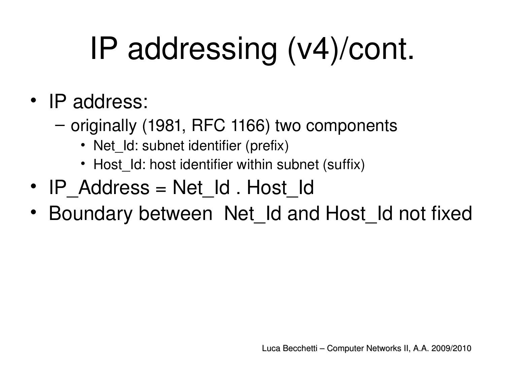# IP addressing (v4)/cont.

#### • IP address:

- originally (1981, RFC 1166) two components
	- Net Id: subnet identifier (prefix)
	- Host Id: host identifier within subnet (suffix)
- IP Address = Net Id . Host Id
- Boundary between Net Id and Host Id not fixed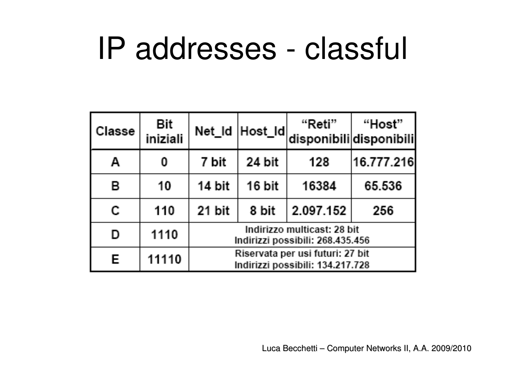## IP addresses - classful

| Classe       | <b>Bit</b><br>iniziali |                                                                      | Net_Id Host_Id | "Reti"<br>disponibilidisponibili | "Host"     |
|--------------|------------------------|----------------------------------------------------------------------|----------------|----------------------------------|------------|
| A            |                        | 7 bit                                                                | 24 bit         | 128                              | 16.777.216 |
| В            | 10                     | 14 bit                                                               | 16 bit         | 16384                            | 65.536     |
| $\mathbb{C}$ | 110                    | 21 bit                                                               | 8 bit          | 2.097.152                        | 256        |
| D            | 1110                   | Indirizzo multicast: 28 bit<br>Indirizzi possibili: 268.435.456      |                |                                  |            |
| E            | 11110                  | Riservata per usi futuri: 27 bit<br>Indirizzi possibili: 134.217.728 |                |                                  |            |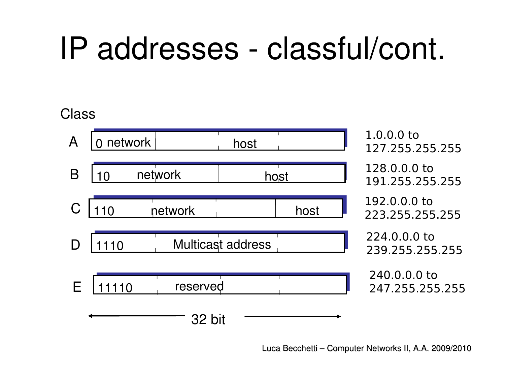## IP addresses classful/cont.

#### Class

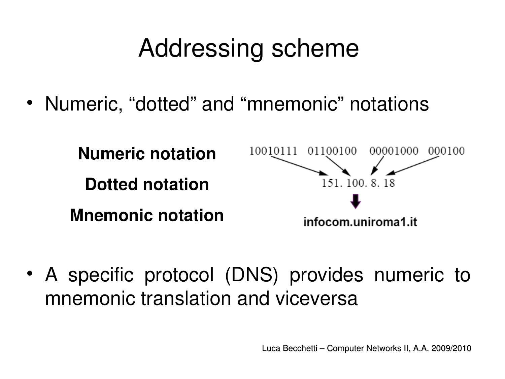### Addressing scheme

• Numeric, "dotted" and "mnemonic" notations



• A specific protocol (DNS) provides numeric to mnemonic translation and viceversa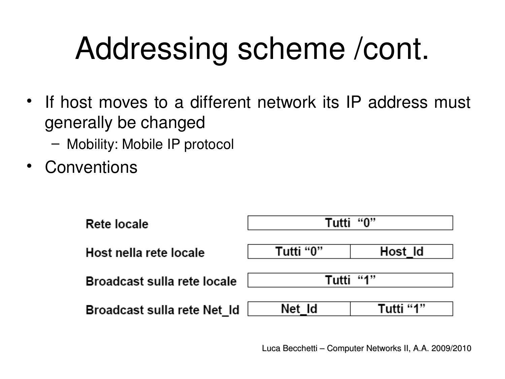# Addressing scheme /cont.

- If host moves to a different network its IP address must generally be changed
	- Mobility: Mobile IP protocol
- **Conventions**

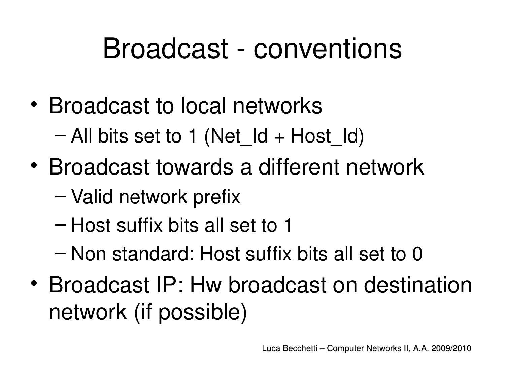## Broadcast - conventions

- Broadcast to local networks – All bits set to 1 (Net  $Id + Host$  Id)
- Broadcast towards a different network
	- Valid network prefix
	- Host suffix bits all set to 1
	- Non standard: Host suffix bits all set to 0
- Broadcast IP: Hw broadcast on destination network (if possible)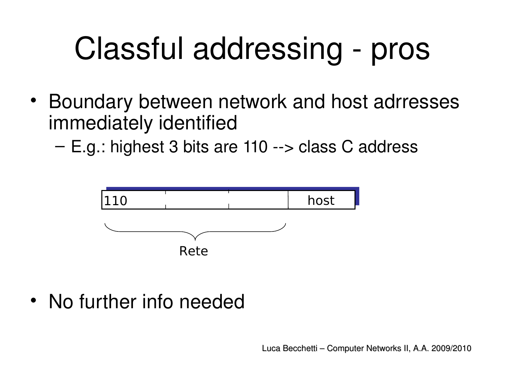# Classful addressing - pros

- Boundary between network and host adrresses immediately identified
	- $E.g.:$  highest 3 bits are 110 --> class C address



• No further info needed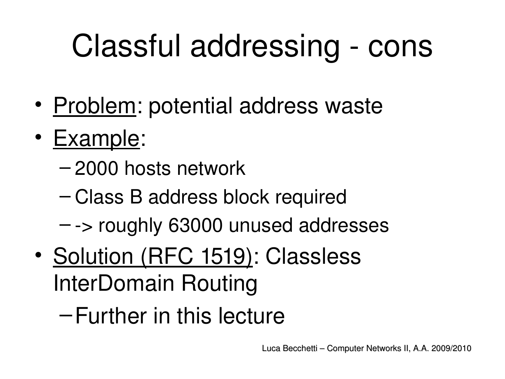# Classful addressing - cons

- Problem: potential address waste
- Example:
	- 2000 hosts network
	- Class B address block required
	- $-$  -> roughly 63000 unused addresses
- Solution (RFC 1519): Classless InterDomain Routing
	- –Further in this lecture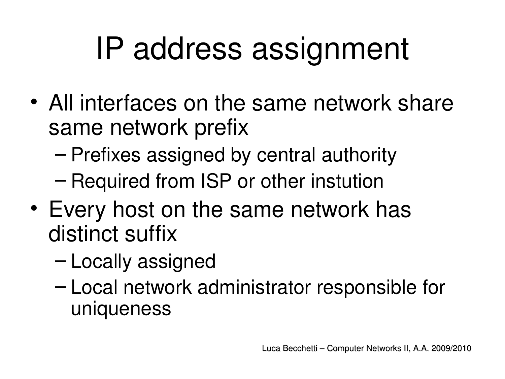# IP address assignment

- All interfaces on the same network share same network prefix
	- Prefixes assigned by central authority
	- Required from ISP or other instution
- Every host on the same network has distinct suffix
	- Locally assigned
	- Local network administrator responsible for uniqueness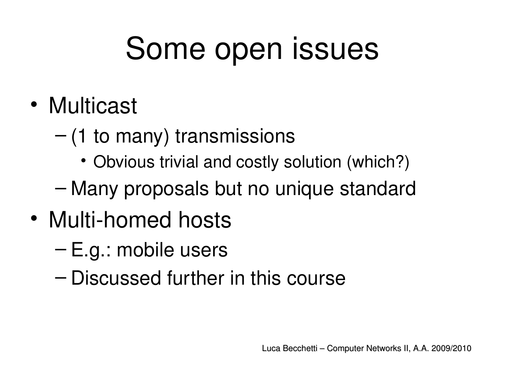## Some open issues

- Multicast
	- $-$  (1 to many) transmissions
		- Obvious trivial and costly solution (which?)
	- Many proposals but no unique standard
- Multi-homed hosts
	- E.g.: mobile users
	- Discussed further in this course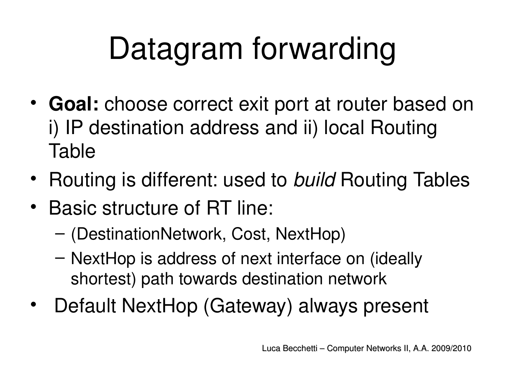# Datagram forwarding

- **Goal:** choose correct exit port at router based on i) IP destination address and ii) local Routing Table
- Routing is different: used to *build* Routing Tables
- Basic structure of RT line:
	- (DestinationNetwork, Cost, NextHop)
	- NextHop is address of next interface on (ideally shortest) path towards destination network
- Default NextHop (Gateway) always present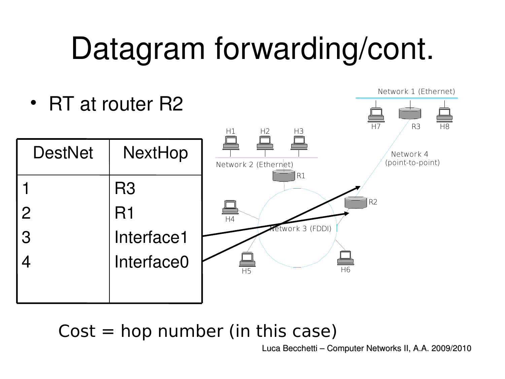## Datagram forwarding/cont.



 $Cost = hop$  number (in this case)

Luca Becchetti – Computer Networks II, A.A. 2009/2010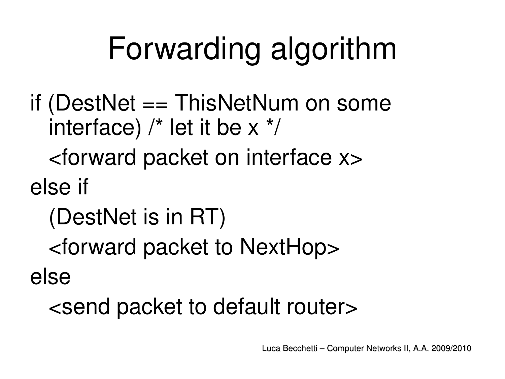## Forwarding algorithm

if (DestNet == ThisNetNum on some interface)  $/*$  let it be  $x * /$ 

<forward packet on interface x>

else if

(DestNet is in RT)

<forward packet to NextHop>

else

<send packet to default router>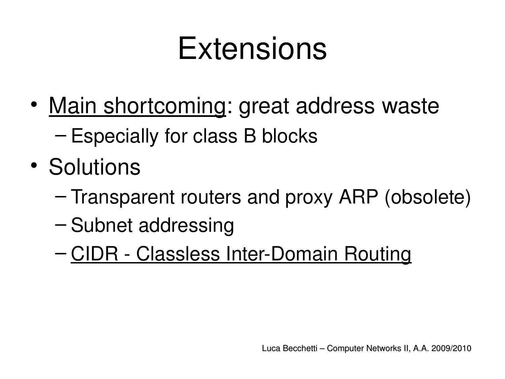## **Extensions**

- Main shortcoming: great address waste – Especially for class B blocks
- Solutions
	- Transparent routers and proxy ARP (obsolete)
	- Subnet addressing
	- CIDR Classless Inter-Domain Routing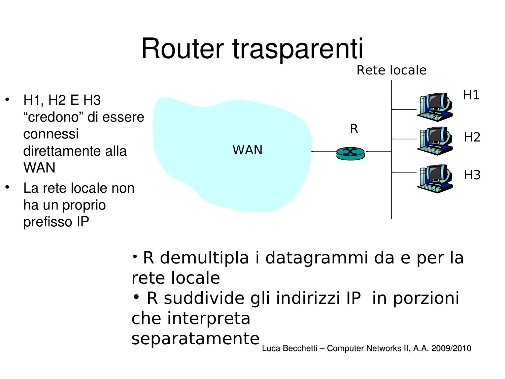## Router trasparenti

- H1, H2 E H3 "credono" di essere connessi direttamente alla WAN
- La rete locale non ha un proprio prefisso IP



- R demultipla i datagrammi da e per la rete locale
- R suddivide gli indirizzi IP in porzioni che interpreta separatamente

Luca Becchetti – Computer Networks II, A.A. 2009/2010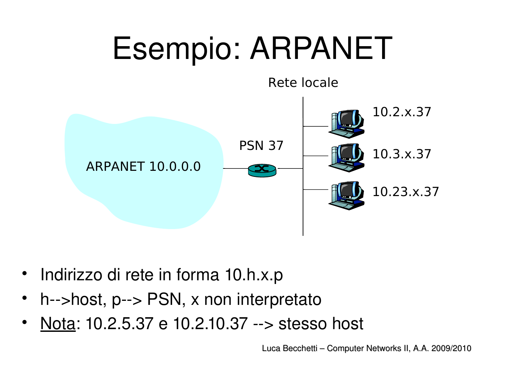

- Indirizzo di rete in forma 10.h.x.p
- $h$ -->host,  $p$ --> PSN, x non interpretato
- Nota: 10.2.5.37 e 10.2.10.37 --> stesso host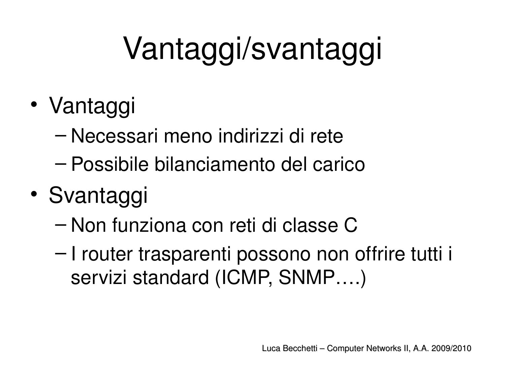# Vantaggi/svantaggi

- Vantaggi
	- Necessari meno indirizzi di rete
	- Possibile bilanciamento del carico
- Svantaggi
	- Non funziona con reti di classe C
	- I router trasparenti possono non offrire tutti i servizi standard (ICMP, SNMP….)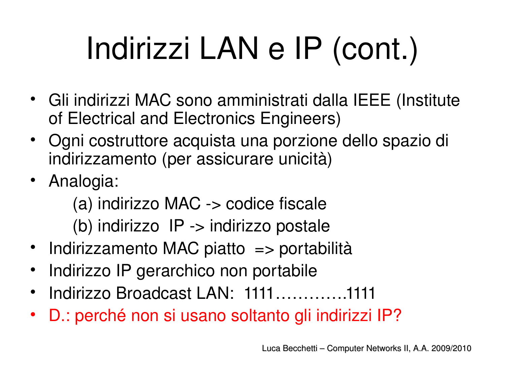# Indirizzi LAN e IP (cont.)

- Gli indirizzi MAC sono amministrati dalla IEEE (Institute of Electrical and Electronics Engineers)
- Ogni costruttore acquista una porzione dello spazio di indirizzamento (per assicurare unicità)
- Analogia:

(a) indirizzo  $MAC \rightarrow code$  fiscale (b) indirizzo IP -> indirizzo postale

- Indirizzamento MAC piatto => portabilità
- Indirizzo IP gerarchico non portabile
- Indirizzo Broadcast LAN: 1111………….1111
- D.: perché non si usano soltanto gli indirizzi IP?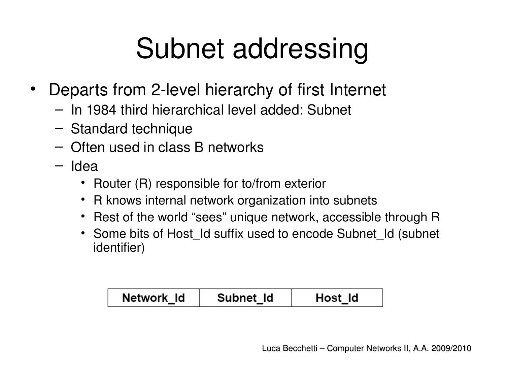## Subnet addressing

- Departs from 2-level hierarchy of first Internet
	- In 1984 third hierarchical level added: Subnet
	- Standard technique
	- Often used in class B networks
	- Idea
		- Router (R) responsible for to/from exterior
		- R knows internal network organization into subnets
		- Rest of the world "sees" unique network, accessible through R
		- Some bits of Host Id suffix used to encode Subnet Id (subnet identifier)

| Network Id | Subnet Id | Host Id |
|------------|-----------|---------|
|------------|-----------|---------|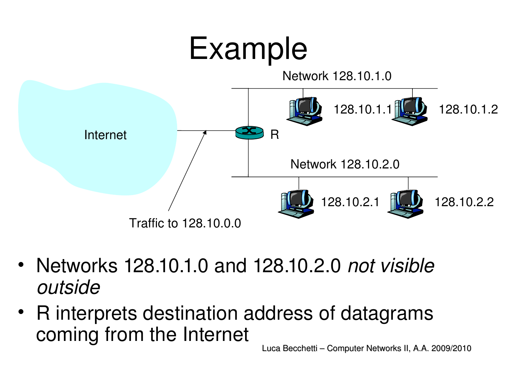

- Networks 128.10.1.0 and 128.10.2.0 *not visible outside*
- R interprets destination address of datagrams coming from the Internet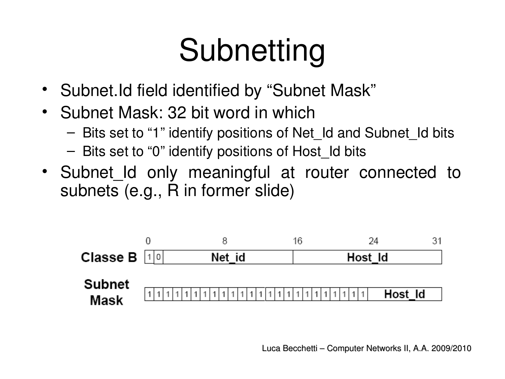## Subnetting

- Subnet.Id field identified by "Subnet Mask"
- Subnet Mask: 32 bit word in which
	- Bits set to "1" identify positions of Net\_Id and Subnet\_Id bits
	- Bits set to "0" identify positions of Host\_Id bits
- Subnet Id only meaningful at router connected to subnets (e.g., R in former slide)

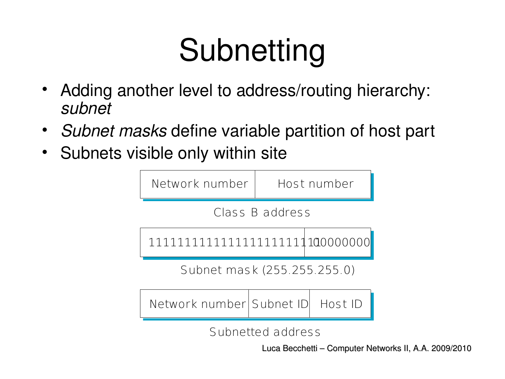# Subnetting

- Adding another level to address/routing hierarchy: *subnet*
- *Subnet masks* define variable partition of host part
- Subnets visible only within site



Subnetted address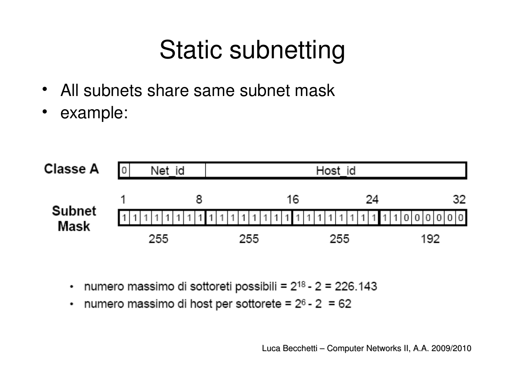### Static subnetting

- All subnets share same subnet mask
- example:



- numero massimo di sottoreti possibili = 2<sup>18</sup> 2 = 226.143 ٠
- numero massimo di host per sottorete =  $2<sup>6</sup>$  2 = 62 ٠

Luca Becchetti – Computer Networks II, A.A. 2009/2010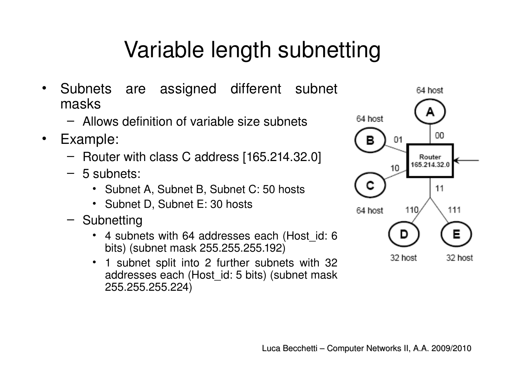#### Variable length subnetting

- Subnets are assigned different subnet masks
	- Allows definition of variable size subnets
- Example:
	- Router with class C address [165.214.32.0]
	- 5 subnets:
		- Subnet A, Subnet B, Subnet C: 50 hosts
		- Subnet D, Subnet E: 30 hosts
	- Subnetting
		- 4 subnets with 64 addresses each (Host id: 6 bits) (subnet mask 255.255.255.192)
		- 1 subnet split into 2 further subnets with 32 addresses each (Host\_id: 5 bits) (subnet mask 255.255.255.224)

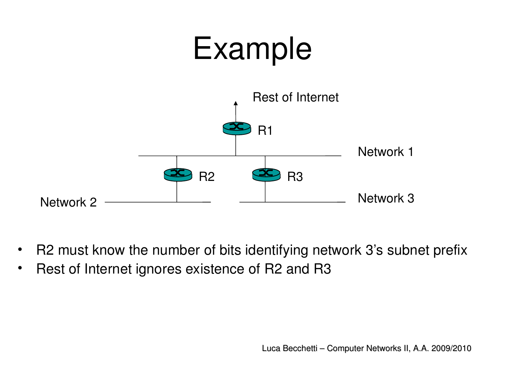

- R2 must know the number of bits identifying network 3's subnet prefix
- Rest of Internet ignores existence of R2 and R3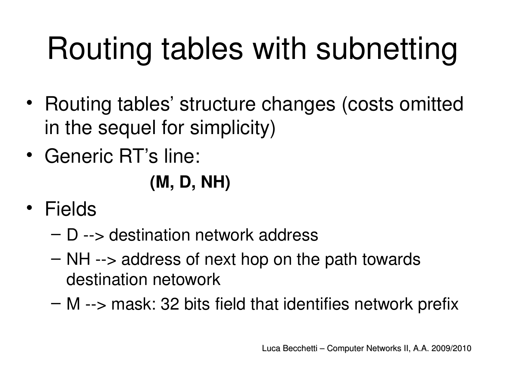# Routing tables with subnetting

- Routing tables' structure changes (costs omitted in the sequel for simplicity)
- Generic RT's line:

#### **(M, D, NH)**

- Fields
	- $-$  D  $\rightarrow$  destination network address
	- $-$  NH  $\rightarrow$  address of next hop on the path towards destination netowork
	- $-$  M  $\rightarrow$  mask: 32 bits field that identifies network prefix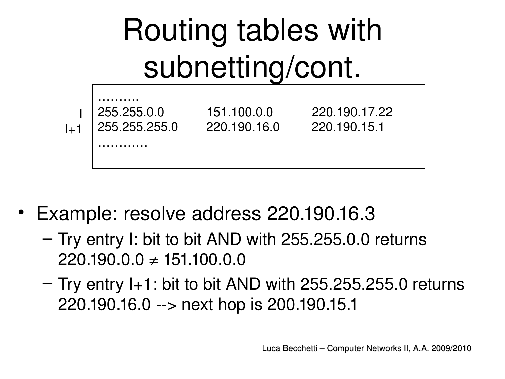

- Example: resolve address 220.190.16.3
	- Try entry I: bit to bit AND with 255.255.0.0 returns  $220.190.0.0 \neq 151.100.0.0$
	- $-$  Try entry I+1: bit to bit AND with 255.255.255.0 returns 220.190.16.0 --> next hop is 200.190.15.1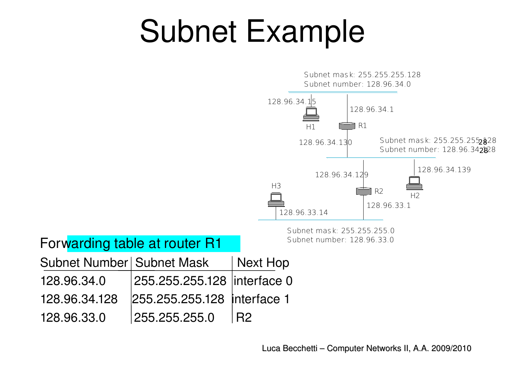## Subnet Example



Forwarding table at router R1

| Subnet Number   Subnet Mask |                              | Next Hop   |
|-----------------------------|------------------------------|------------|
| 128.96.34.0                 | 255.255.255.128  interface 0 |            |
| 128.96.34.128               | 255.255.255.128 interface 1  |            |
| 128.96.33.0                 | 255.255.255.0                | <b>IR2</b> |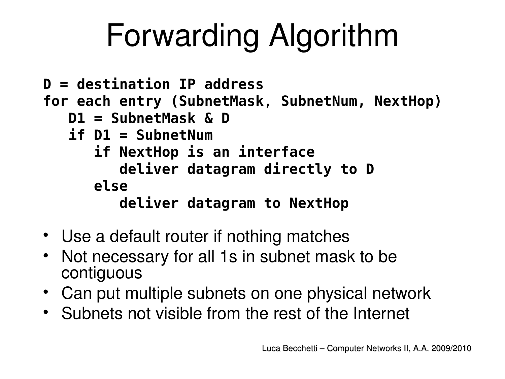# Forwarding Algorithm

```
D = destination IP address
for each entry (SubnetMask, SubnetNum, NextHop)
    D1 = SubnetMask & D
    if D1 = SubnetNum
       if NextHop is an interface
          deliver datagram directly to D
       else
          deliver datagram to NextHop
```
- Use a default router if nothing matches
- Not necessary for all 1s in subnet mask to be contiguous
- Can put multiple subnets on one physical network
- Subnets not visible from the rest of the Internet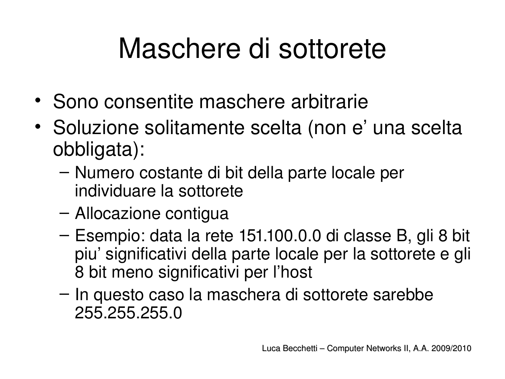## Maschere di sottorete

- Sono consentite maschere arbitrarie
- Soluzione solitamente scelta (non e' una scelta obbligata):
	- Numero costante di bit della parte locale per individuare la sottorete
	- Allocazione contigua
	- Esempio: data la rete 151.100.0.0 di classe B, gli 8 bit piu' significativi della parte locale per la sottorete e gli 8 bit meno significativi per l'host
	- In questo caso la maschera di sottorete sarebbe 255.255.255.0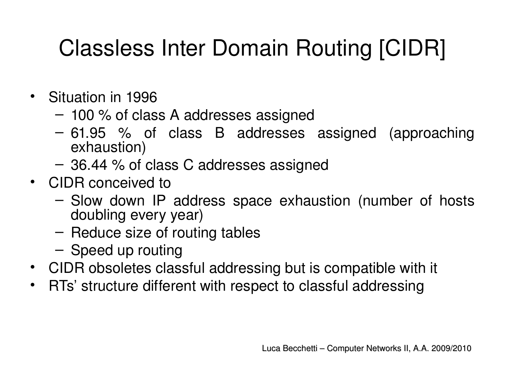- Situation in 1996
	- 100 % of class A addresses assigned
	- 61.95 % of class B addresses assigned (approaching exhaustion)
	- 36.44 % of class C addresses assigned
- CIDR conceived to
	- Slow down IP address space exhaustion (number of hosts doubling every year)
	- Reduce size of routing tables
	- Speed up routing
- CIDR obsoletes classful addressing but is compatible with it
- RTs' structure different with respect to classful addressing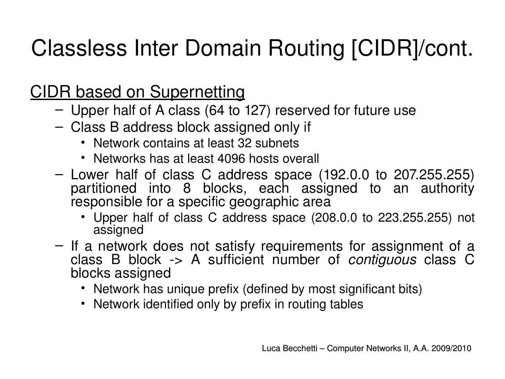#### CIDR based on Supernetting

- Upper half of A class (64 to 127) reserved for future use
- Class B address block assigned only if
	- Network contains at least 32 subnets
	- Networks has at least 4096 hosts overall
- Lower half of class C address space (192.0.0 to 207.255.255) partitioned into 8 blocks, each assigned to an authority responsible for a specific geographic area
	- Upper half of class C address space (208.0.0 to 223.255.255) not assigned
- $-$  If a network does not satisfy requirements for assignment of a class B block > A sufficient number of *contiguous*  class C blocks assigned
	- Network has unique prefix (defined by most significant bits)
	- Network identified only by prefix in routing tables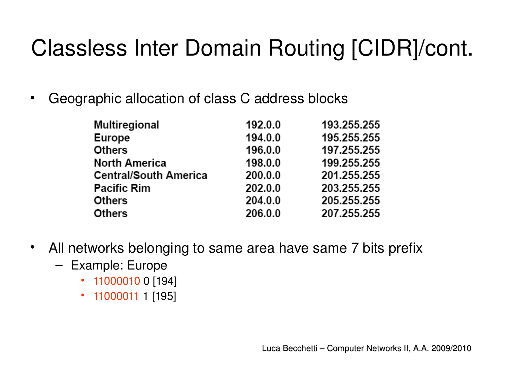• Geographic allocation of class C address blocks

| Multiregional                | 192.0.0 | 193.255.255 |
|------------------------------|---------|-------------|
| <b>Europe</b>                | 194.0.0 | 195.255.255 |
| <b>Others</b>                | 196.0.0 | 197.255.255 |
| <b>North America</b>         | 198.0.0 | 199.255.255 |
| <b>Central/South America</b> | 200.0.0 | 201.255.255 |
| <b>Pacific Rim</b>           | 202.0.0 | 203.255.255 |
| <b>Others</b>                | 204.0.0 | 205.255.255 |
| <b>Others</b>                | 206.0.0 | 207.255.255 |

- All networks belonging to same area have same 7 bits prefix
	- Example: Europe
		- 11000010 0 [194]
		- 11000011 1 [195]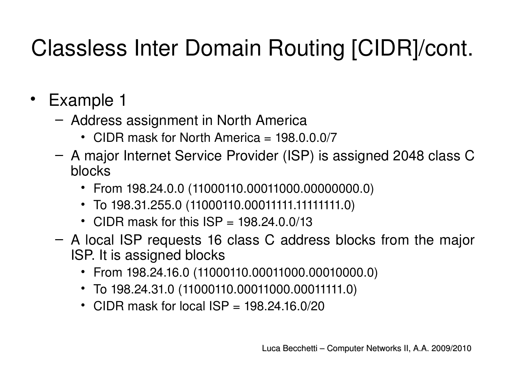- Example 1
	- Address assignment in North America
		- CIDR mask for North America = 198.0.0.0/7
	- A major Internet Service Provider (ISP) is assigned 2048 class C blocks
		- From 198.24.0.0 (11000110.00011000.00000000.0)
		- To 198.31.255.0 (11000110.00011111.11111111.0)
		- CIDR mask for this  $ISP = 198.24.0.0/13$
	- A local ISP requests 16 class C address blocks from the major ISP. It is assigned blocks
		- From 198.24.16.0 (11000110.00011000.00010000.0)
		- To 198.24.31.0 (11000110.00011000.00011111.0)
		- CIDR mask for local  $ISP = 198.24.16.0/20$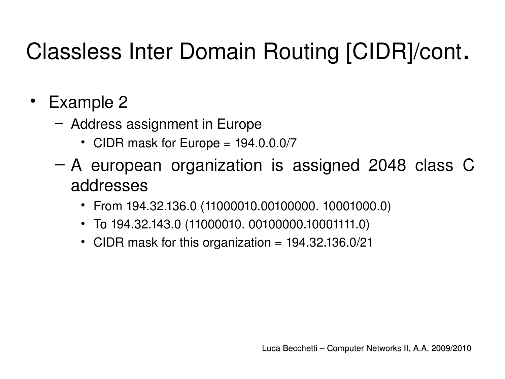- Example 2
	- Address assignment in Europe
		- CIDR mask for Europe = 194.0.0.0/7
	- A european organization is assigned 2048 class C addresses
		- From 194.32.136.0 (11000010.00100000. 10001000.0)
		- To 194.32.143.0 (11000010. 00100000.10001111.0)
		- CIDR mask for this organization = 194.32.136.0/21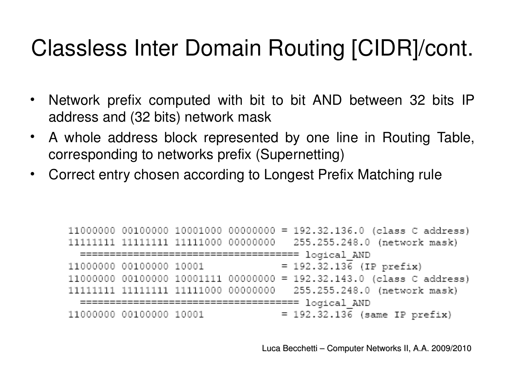- Network prefix computed with bit to bit AND between 32 bits IP address and (32 bits) network mask
- A whole address block represented by one line in Routing Table, corresponding to networks prefix (Supernetting)
- Correct entry chosen according to Longest Prefix Matching rule

```
11000000 00100000 10001000 00000000 = 192.32.136.0 (class C address)
11111111 11111111 11111000 00000000
                              255.255.248.0 (network mask)
 = 192.32.136 (IP prefix)
11000000 00100000 10001
11000000 00100000 10001111 00000000 = 192.32.143.0 (class C address)
11111111 11111111 11111000 00000000
                              255.255.248.0 (network mask)
 = 192.32.136 (same IP prefix)
11000000 00100000 10001
```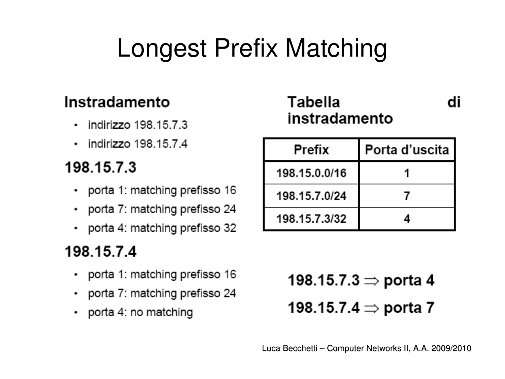### Longest Prefix Matching

#### Instradamento

- $\cdot$  indirizzo 198.15.7.3
- $\cdot$  indirizzo 198.15.7.4

#### 198.15.7.3

- porta 1: matching prefisso 16
- porta 7: matching prefisso 24
- porta 4: matching prefisso 32

#### 198.15.7.4

- porta 1: matching prefisso 16
- porta 7: matching prefisso 24
- $\cdot$  porta 4: no matching

Tabella instradamento

di

| <b>Prefix</b> | Porta d'uscita I |
|---------------|------------------|
| 198.15.0.0/16 |                  |
| 198.15.7.0/24 |                  |
| 198.15.7.3/32 |                  |

198.15.7.3 ⇒ porta 4 198.15.7.4 ⇒ porta 7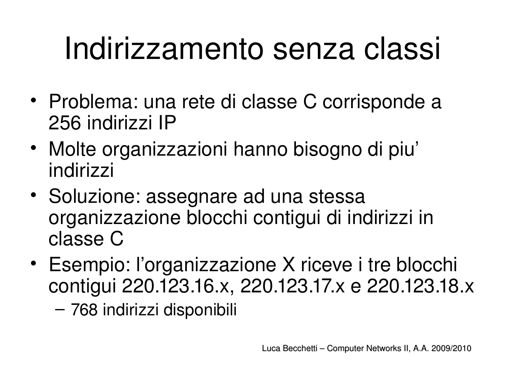## Indirizzamento senza classi

- Problema: una rete di classe C corrisponde a 256 indirizzi IP
- Molte organizzazioni hanno bisogno di piu' indirizzi
- Soluzione: assegnare ad una stessa organizzazione blocchi contigui di indirizzi in classe C
- Esempio: l'organizzazione X riceve i tre blocchi contigui 220.123.16.x, 220.123.17.x e 220.123.18.x – 768 indirizzi disponibili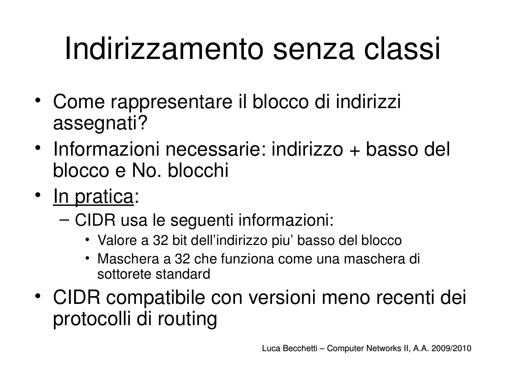## Indirizzamento senza classi

- Come rappresentare il blocco di indirizzi assegnati?
- Informazioni necessarie: indirizzo + basso del blocco e No. blocchi
- In pratica:
	- CIDR usa le seguenti informazioni:
		- Valore a 32 bit dell'indirizzo piu' basso del blocco
		- Maschera a 32 che funziona come una maschera di sottorete standard
- CIDR compatibile con versioni meno recenti dei protocolli di routing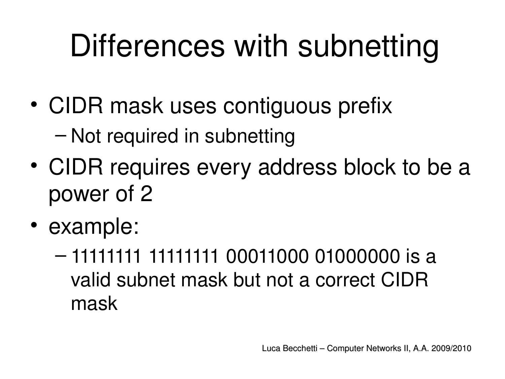## Differences with subnetting

- CIDR mask uses contiguous prefix – Not required in subnetting
- CIDR requires every address block to be a power of 2
- example:
	- 11111111 11111111 00011000 01000000 is a valid subnet mask but not a correct CIDR mask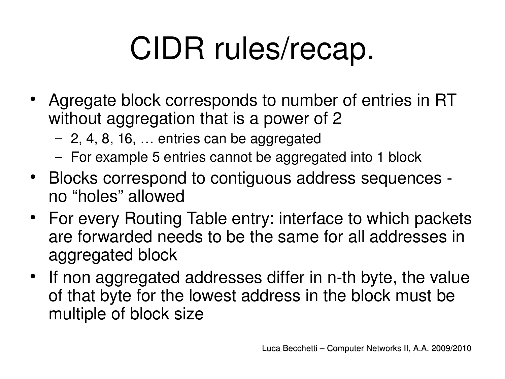# CIDR rules/recap.

- Agregate block corresponds to number of entries in RT without aggregation that is a power of 2
	- 2, 4, 8, 16, … entries can be aggregated
	- For example 5 entries cannot be aggregated into 1 block
- Blocks correspond to contiguous address sequences no "holes" allowed
- For every Routing Table entry: interface to which packets are forwarded needs to be the same for all addresses in aggregated block
- If non aggregated addresses differ in n-th byte, the value of that byte for the lowest address in the block must be multiple of block size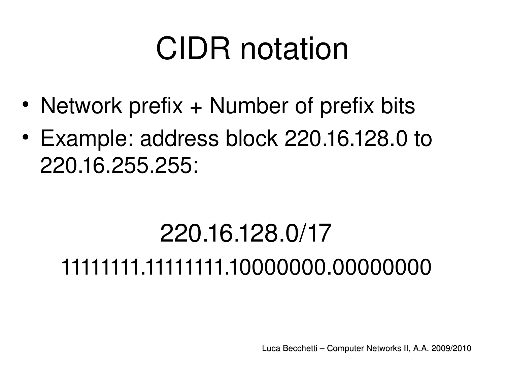## CIDR notation

- Network prefix + Number of prefix bits
- Example: address block 220.16.128.0 to 220.16.255.255:

## 220.16.128.0/17 11111111.11111111.10000000.00000000

Luca Becchetti – Computer Networks II, A.A. 2009/2010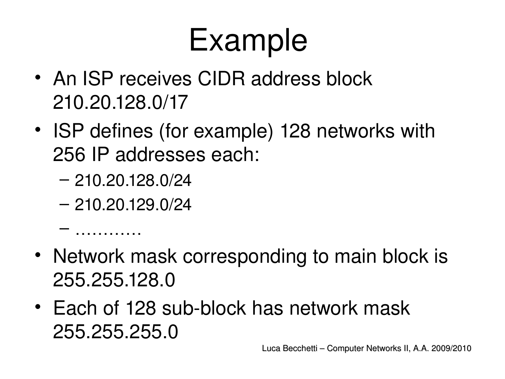## Example

- An ISP receives CIDR address block 210.20.128.0/17
- ISP defines (for example) 128 networks with 256 IP addresses each:
	- 210.20.128.0/24
	- 210.20.129.0/24

– …………

- Network mask corresponding to main block is 255.255.128.0
- Each of 128 sub-block has network mask 255.255.255.0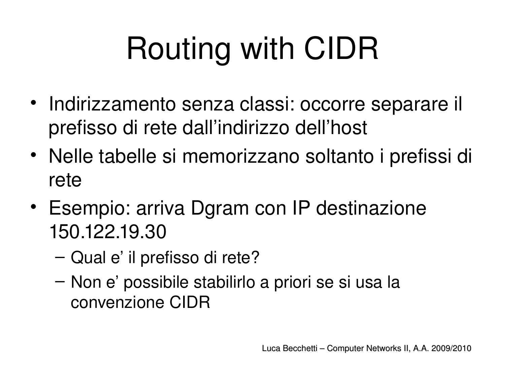# Routing with CIDR

- Indirizzamento senza classi: occorre separare il prefisso di rete dall'indirizzo dell'host
- Nelle tabelle si memorizzano soltanto i prefissi di rete
- Esempio: arriva Dgram con IP destinazione 150.122.19.30
	- Qual e' il prefisso di rete?
	- Non e' possibile stabilirlo a priori se si usa la convenzione CIDR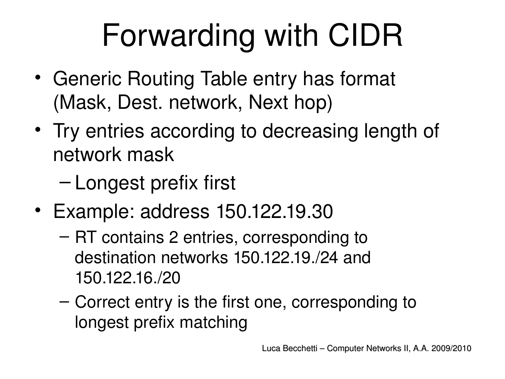# Forwarding with CIDR

- Generic Routing Table entry has format (Mask, Dest. network, Next hop)
- Try entries according to decreasing length of network mask
	- Longest prefix first
- Example: address 150.122.19.30
	- RT contains 2 entries, corresponding to destination networks 150.122.19./24 and 150.122.16./20
	- Correct entry is the first one, corresponding to longest prefix matching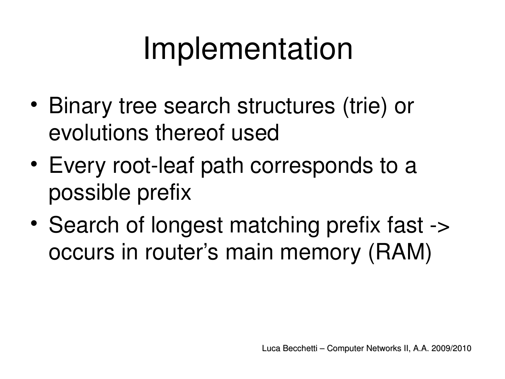## Implementation

- Binary tree search structures (trie) or evolutions thereof used
- Every root-leaf path corresponds to a possible prefix
- Search of longest matching prefix fast -> occurs in router's main memory (RAM)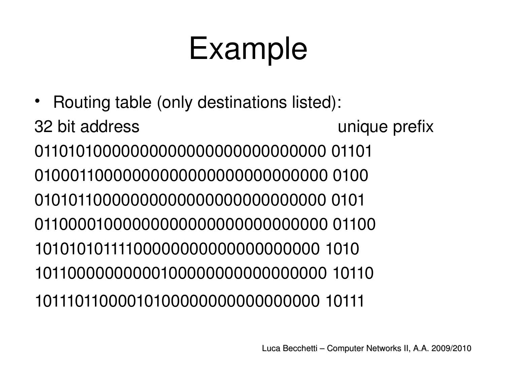## Example

• Routing table (only destinations listed): 32 bit address and the state of the state of the state of the state of the state of the state of the state of the state of the state of the state of the state of the state of the state of the state of the state of the stat 01101010000000000000000000000000 01101 01000110000000000000000000000000 0100 01010110000000000000000000000000 0101 01100001000000000000000000000000 01100 10101010111100000000000000000000 1010 10110000000000100000000000000000 10110 10111011000010100000000000000000 10111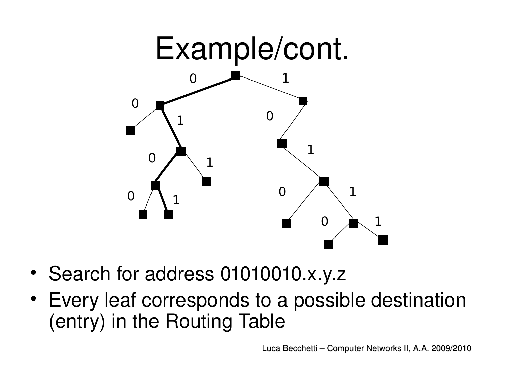

- Search for address 01010010.x.y.z
- Every leaf corresponds to a possible destination (entry) in the Routing Table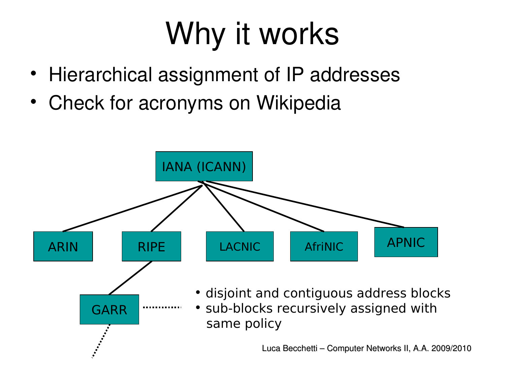## Why it works

- Hierarchical assignment of IP addresses
- Check for acronyms on Wikipedia

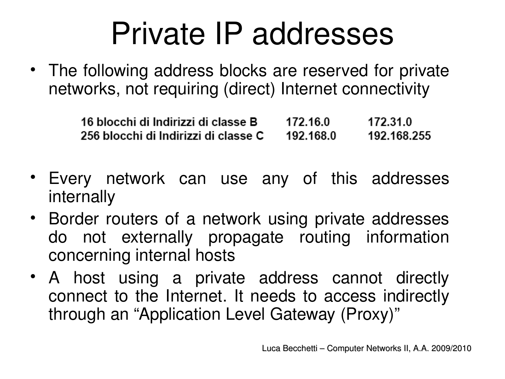## Private IP addresses

• The following address blocks are reserved for private networks, not requiring (direct) Internet connectivity

| <u>16 blocchi di Indirizzi di classe B</u> | 172.16.0  | 172.31.0    |
|--------------------------------------------|-----------|-------------|
| 256 blocchi di Indirizzi di classe C       | 192.168.0 | 192.168.255 |

- Every network can use any of this addresses internally
- Border routers of a network using private addresses do not externally propagate routing information concerning internal hosts
- A host using a private address cannot directly connect to the Internet. It needs to access indirectly through an "Application Level Gateway (Proxy)"